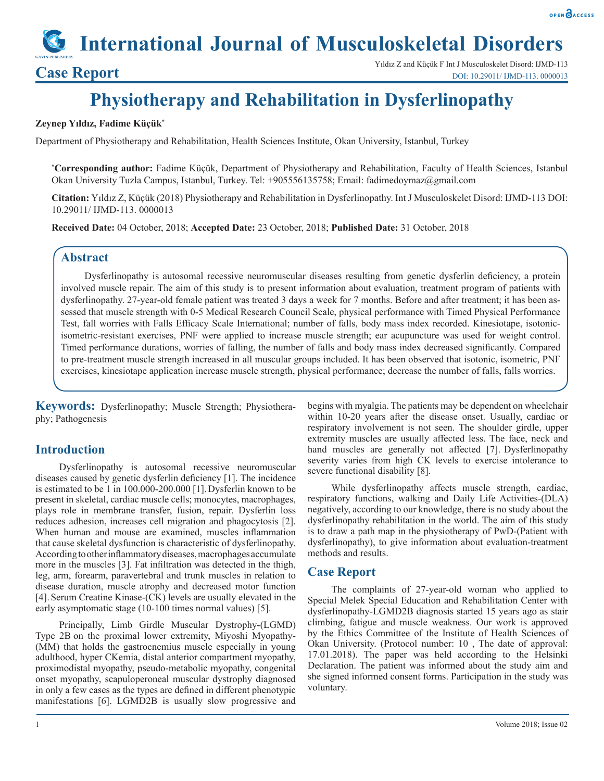# **International Journal of Musculoskeletal Disorders**

**Case Report** Yıldız Z and Küçük F Int J Musculoskelet Disord: IJMD-113 DOI: 10.29011/ IJMD-113. 0000013

# **Physiotherapy and Rehabilitation in Dysferlinopathy**

### **Zeynep Yıldız, Fadime Küçük\***

Department of Physiotherapy and Rehabilitation, Health Sciences Institute, Okan University, Istanbul, Turkey

**\* Corresponding author:** Fadime Küçük, Department of Physiotherapy and Rehabilitation, Faculty of Health Sciences, Istanbul Okan University Tuzla Campus, Istanbul, Turkey. Tel: +905556135758; Email: fadimedoymaz@gmail.com

**Citation:** Yıldız Z, Küçük (2018) Physiotherapy and Rehabilitation in Dysferlinopathy. Int J Musculoskelet Disord: IJMD-113 DOI: 10.29011/ IJMD-113. 0000013

**Received Date:** 04 October, 2018; **Accepted Date:** 23 October, 2018; **Published Date:** 31 October, 2018

# **Abstract**

Dysferlinopathy is autosomal recessive neuromuscular diseases resulting from genetic dysferlin deficiency, a protein involved muscle repair. The aim of this study is to present information about evaluation, treatment program of patients with dysferlinopathy. 27-year-old female patient was treated 3 days a week for 7 months. Before and after treatment; it has been assessed that muscle strength with 0-5 Medical Research Council Scale, physical performance with Timed Physical Performance Test, fall worries with Falls Efficacy Scale International; number of falls, body mass index recorded. Kinesiotape, isotonicisometric-resistant exercises, PNF were applied to increase muscle strength; ear acupuncture was used for weight control. Timed performance durations, worries of falling, the number of falls and body mass index decreased significantly. Compared to pre-treatment muscle strength increased in all muscular groups included. It has been observed that isotonic, isometric, PNF exercises, kinesiotape application increase muscle strength, physical performance; decrease the number of falls, falls worries.

**Keywords:** Dysferlinopathy; Muscle Strength; Physiotheraphy; Pathogenesis

# **Introduction**

Dysferlinopathy is autosomal recessive neuromuscular diseases caused by genetic dysferlin deficiency [1]. The incidence is estimated to be 1 in 100.000-200.000 [1].Dysferlin known to be present in skeletal, cardiac muscle cells; monocytes, macrophages, plays role in membrane transfer, fusion, repair. Dysferlin loss reduces adhesion, increases cell migration and phagocytosis [2]. When human and mouse are examined, muscles inflammation that cause skeletal dysfunction is characteristic of dysferlinopathy. According to other inflammatory diseases, macrophages accumulate more in the muscles [3]. Fat infiltration was detected in the thigh, leg, arm, forearm, paravertebral and trunk muscles in relation to disease duration, muscle atrophy and decreased motor function [4]. Serum Creatine Kinase-(CK) levels are usually elevated in the early asymptomatic stage (10-100 times normal values) [5].

Principally, Limb Girdle Muscular Dystrophy-(LGMD) Type 2B on the proximal lower extremity, Miyoshi Myopathy- (MM) that holds the gastrocnemius muscle especially in young adulthood, hyper CKemia, distal anterior compartment myopathy, proximodistal myopathy, pseudo-metabolic myopathy, congenital onset myopathy, scapuloperoneal muscular dystrophy diagnosed in only a few cases as the types are defined in different phenotypic manifestations [6]. LGMD2B is usually slow progressive and begins with myalgia. The patients may be dependent on wheelchair within 10-20 years after the disease onset. Usually, cardiac or respiratory involvement is not seen. The shoulder girdle, upper extremity muscles are usually affected less. The face, neck and hand muscles are generally not affected [7]. Dysferlinopathy severity varies from high CK levels to exercise intolerance to severe functional disability [8].

While dysferlinopathy affects muscle strength, cardiac, respiratory functions, walking and Daily Life Activities-(DLA) negatively, according to our knowledge, there is no study about the dysferlinopathy rehabilitation in the world. The aim of this study is to draw a path map in the physiotherapy of PwD-(Patient with dysferlinopathy), to give information about evaluation-treatment methods and results.

# **Case Report**

The complaints of 27-year-old woman who applied to Special Melek Special Education and Rehabilitation Center with dysferlinopathy-LGMD2B diagnosis started 15 years ago as stair climbing, fatigue and muscle weakness. Our work is approved by the Ethics Committee of the Institute of Health Sciences of Okan University. (Protocol number: 10 , The date of approval: 17.01.2018). The paper was held according to the Helsinki Declaration. The patient was informed about the study aim and she signed informed consent forms. Participation in the study was voluntary.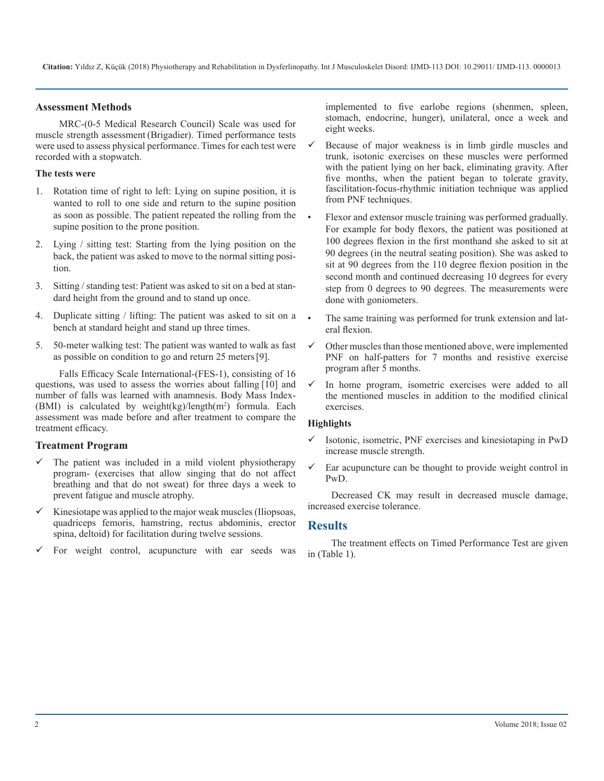#### **Assessment Methods**

MRC-(0-5 Medical Research Council) Scale was used for muscle strength assessment (Brigadier). Timed performance tests were used to assess physical performance. Times for each test were recorded with a stopwatch.

#### **The tests were**

- 1. Rotation time of right to left: Lying on supine position, it is wanted to roll to one side and return to the supine position as soon as possible. The patient repeated the rolling from the supine position to the prone position.
- 2. Lying / sitting test: Starting from the lying position on the back, the patient was asked to move to the normal sitting position.
- 3. Sitting / standing test: Patient was asked to sit on a bed at standard height from the ground and to stand up once.
- 4. Duplicate sitting / lifting: The patient was asked to sit on a bench at standard height and stand up three times.
- 5. 50-meter walking test: The patient was wanted to walk as fast as possible on condition to go and return 25 meters[9].

Falls Efficacy Scale International-(FES-1), consisting of 16 questions, was used to assess the worries about falling [10] and number of falls was learned with anamnesis. Body Mass Index- (BMI) is calculated by weight(kg)/length $(m<sup>2</sup>)$  formula. Each assessment was made before and after treatment to compare the treatment efficacy.

#### **Treatment Program**

- $\checkmark$  The patient was included in a mild violent physiotherapy program- (exercises that allow singing that do not affect breathing and that do not sweat) for three days a week to prevent fatigue and muscle atrophy.
- Kinesiotape was applied to the major weak muscles (Iliopsoas, quadriceps femoris, hamstring, rectus abdominis, erector spina, deltoid) for facilitation during twelve sessions.
- For weight control, acupuncture with ear seeds was

implemented to five earlobe regions (shenmen, spleen, stomach, endocrine, hunger), unilateral, once a week and eight weeks.

- Because of major weakness is in limb girdle muscles and trunk, isotonic exercises on these muscles were performed with the patient lying on her back, eliminating gravity. After five months, when the patient began to tolerate gravity, fascilitation-focus-rhythmic initiation technique was applied from PNF techniques.
- Flexor and extensor muscle training was performed gradually. For example for body flexors, the patient was positioned at 100 degrees flexion in the first monthand she asked to sit at 90 degrees (in the neutral seating position). She was asked to sit at 90 degrees from the 110 degree flexion position in the second month and continued decreasing 10 degrees for every step from 0 degrees to 90 degrees. The measurements were done with goniometers.
- The same training was performed for trunk extension and lateral flexion.
- $\checkmark$  Other muscles than those mentioned above, were implemented PNF on half-patters for 7 months and resistive exercise program after 5 months.
- In home program, isometric exercises were added to all the mentioned muscles in addition to the modified clinical exercises.

#### **Highlights**

- Isotonic, isometric, PNF exercises and kinesiotaping in PwD increase muscle strength.
- $\checkmark$  Ear acupuncture can be thought to provide weight control in PwD.

Decreased CK may result in decreased muscle damage, increased exercise tolerance.

## **Results**

The treatment effects on Timed Performance Test are given in (Table 1).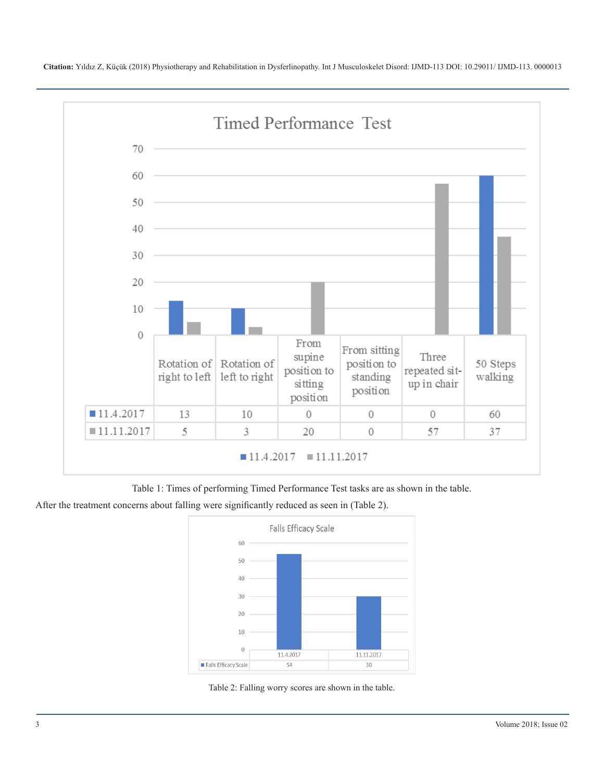**Citation:** Yıldız Z, Küçük (2018) Physiotherapy and Rehabilitation in Dysferlinopathy. Int J Musculoskelet Disord: IJMD-113 DOI: 10.29011/ IJMD-113. 0000013



Table 1: Times of performing Timed Performance Test tasks are as shown in the table.

After the treatment concerns about falling were significantly reduced as seen in (Table 2).



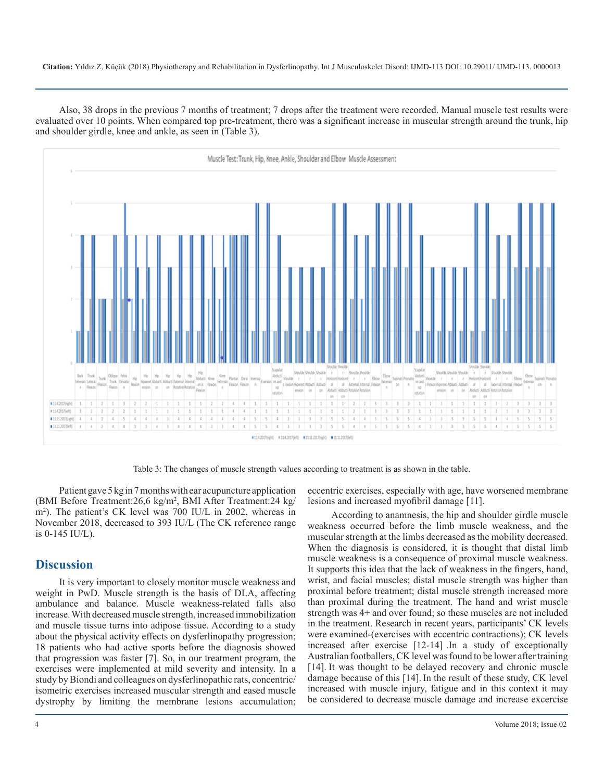**Citation:** Yıldız Z, Küçük (2018) Physiotherapy and Rehabilitation in Dysferlinopathy. Int J Musculoskelet Disord: IJMD-113 DOI: 10.29011/ IJMD-113. 0000013

Also, 38 drops in the previous 7 months of treatment; 7 drops after the treatment were recorded. Manual muscle test results were evaluated over 10 points. When compared top pre-treatment, there was a significant increase in muscular strength around the trunk, hip and shoulder girdle, knee and ankle, as seen in (Table 3).



Table 3: The changes of muscle strength values according to treatment is as shown in the table.

Patient gave 5 kg in 7 months with ear acupuncture application (BMI Before Treatment:26,6 kg/m<sup>2</sup> , BMI After Treatment:24 kg/ m2 ). The patient's CK level was 700 IU/L in 2002, whereas in November 2018, decreased to 393 IU/L (The CK reference range is 0-145 IU/L).

# **Discussion**

It is very important to closely monitor muscle weakness and weight in PwD. Muscle strength is the basis of DLA, affecting ambulance and balance. Muscle weakness-related falls also increase. With decreased muscle strength, increased immobilization and muscle tissue turns into adipose tissue. According to a study about the physical activity effects on dysferlinopathy progression; 18 patients who had active sports before the diagnosis showed that progression was faster [7]. So, in our treatment program, the exercises were implemented at mild severity and intensity. In a study by Biondi and colleagues on dysferlinopathic rats, concentric/ isometric exercises increased muscular strength and eased muscle dystrophy by limiting the membrane lesions accumulation;

eccentric exercises, especially with age, have worsened membrane lesions and increased myofibril damage [11].

According to anamnesis, the hip and shoulder girdle muscle weakness occurred before the limb muscle weakness, and the muscular strength at the limbs decreased as the mobility decreased. When the diagnosis is considered, it is thought that distal limb muscle weakness is a consequence of proximal muscle weakness. It supports this idea that the lack of weakness in the fingers, hand, wrist, and facial muscles; distal muscle strength was higher than proximal before treatment; distal muscle strength increased more than proximal during the treatment. The hand and wrist muscle strength was 4+ and over found; so these muscles are not included in the treatment. Research in recent years, participants' CK levels were examined-(exercises with eccentric contractions); CK levels increased after exercise [12-14] .In a study of exceptionally Australian footballers, CK level was found to be lower after training [14]. It was thought to be delayed recovery and chronic muscle damage because of this [14]. In the result of these study, CK level increased with muscle injury, fatigue and in this context it may be considered to decrease muscle damage and increase excercise